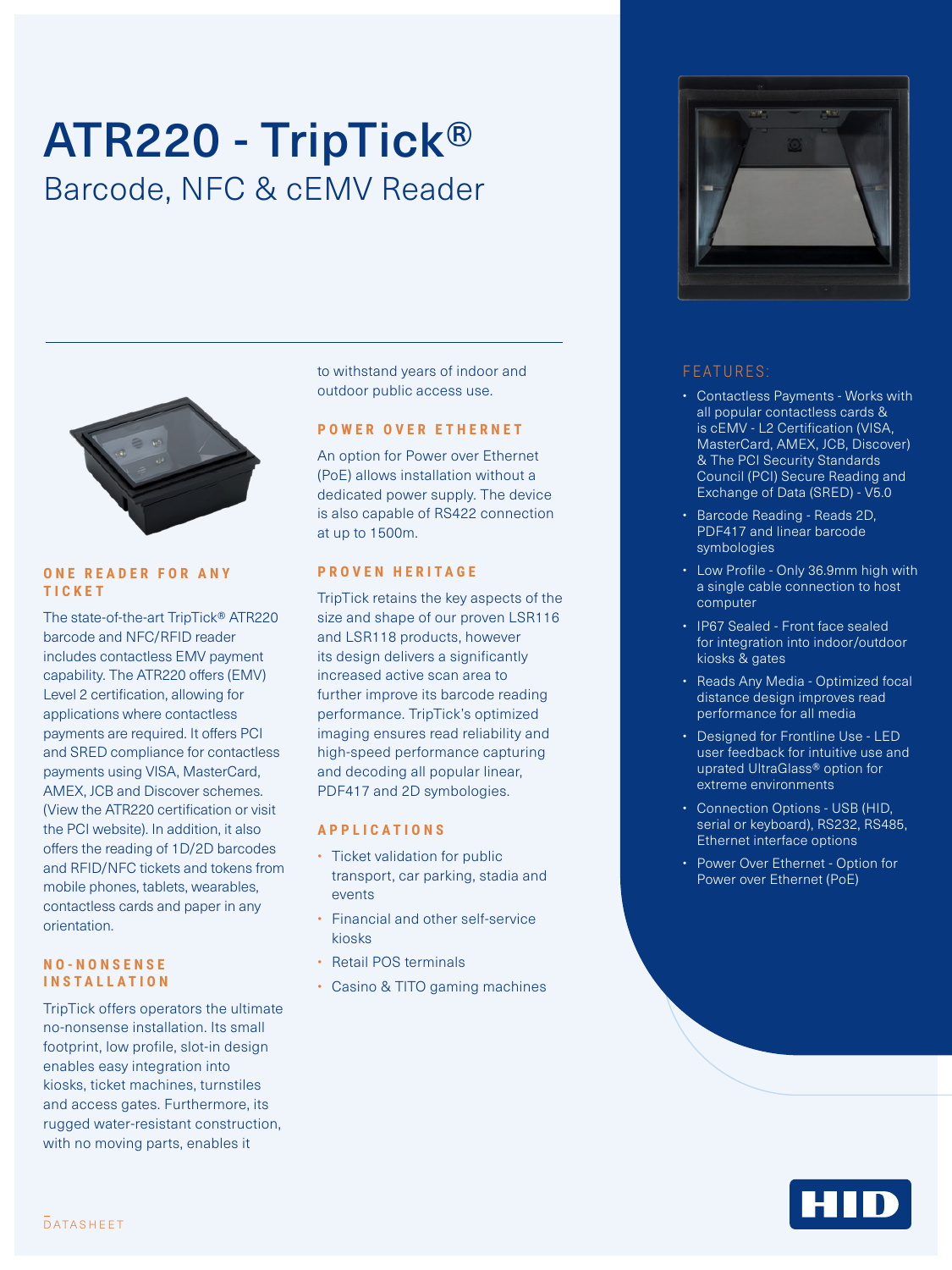# ATR220 - TripTick® Barcode, NFC & cEMV Reader



#### **O N E R E A D E R F O R A N Y TICKET**

The state-of-the-art TripTick® ATR220 barcode and NFC/RFID reader includes contactless EMV payment capability. The ATR220 offers (EMV) Level 2 certification, allowing for applications where contactless payments are required. It offers PCI and SRED compliance for contactless payments using VISA, MasterCard, AMEX, JCB and Discover schemes. (View the ATR220 certification or visit the PCI website). In addition, it also offers the reading of 1D/2D barcodes and RFID/NFC tickets and tokens from mobile phones, tablets, wearables, contactless cards and paper in any orientation.

#### **N O - N O N S E N S E INSTALLATION**

TripTick offers operators the ultimate no-nonsense installation. Its small footprint, low profile, slot-in design enables easy integration into kiosks, ticket machines, turnstiles and access gates. Furthermore, its rugged water-resistant construction, with no moving parts, enables it

to withstand years of indoor and outdoor public access use.

#### **POWER OVER ETHERNET**

An option for Power over Ethernet (PoE) allows installation without a dedicated power supply. The device is also capable of RS422 connection at up to 1500m.

#### **PROVEN HERITAGE**

TripTick retains the key aspects of the size and shape of our proven LSR116 and LSR118 products, however its design delivers a significantly increased active scan area to further improve its barcode reading performance. TripTick's optimized imaging ensures read reliability and high-speed performance capturing and decoding all popular linear, PDF417 and 2D symbologies.

#### **APPLICATIONS**

- Ticket validation for public transport, car parking, stadia and events
- Financial and other self-service kiosks
- Retail POS terminals
- Casino & TITO gaming machines



### FEATURES:

- Contactless Payments Works with all popular contactless cards & is cEMV - L2 Certification (VISA, MasterCard, AMEX, JCB, Discover) & The PCI Security Standards Council (PCI) Secure Reading and Exchange of Data (SRED) - V5.0
- Barcode Reading Reads 2D, PDF417 and linear barcode symbologies
- Low Profile Only 36.9mm high with a single cable connection to host computer
- IP67 Sealed Front face sealed for integration into indoor/outdoor kiosks & gates
- Reads Any Media Optimized focal distance design improves read performance for all media
- Designed for Frontline Use LED user feedback for intuitive use and uprated UltraGlass® option for extreme environments
- Connection Options USB (HID, serial or keyboard), RS232, RS485, Ethernet interface options
- Power Over Ethernet Option for Power over Ethernet (PoE)